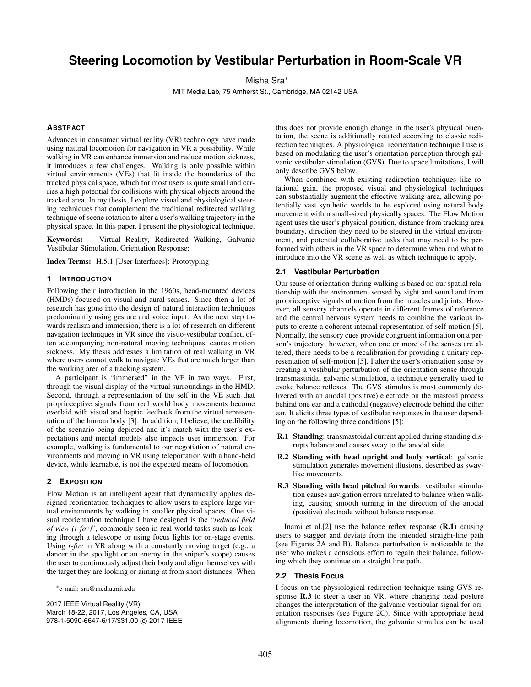# **Steering Locomotion by Vestibular Perturbation in Room-Scale VR**

Misha Sra<sup>∗</sup>

MIT Media Lab, 75 Amherst St., Cambridge, MA 02142 USA

# **ABSTRACT**

Advances in consumer virtual reality (VR) technology have made using natural locomotion for navigation in VR a possibility. While walking in VR can enhance immersion and reduce motion sickness, it introduces a few challenges. Walking is only possible within virtual environments (VEs) that fit inside the boundaries of the tracked physical space, which for most users is quite small and carries a high potential for collisions with physical objects around the tracked area. In my thesis, I explore visual and physiological steering techniques that complement the traditional redirected walking technique of scene rotation to alter a user's walking trajectory in the physical space. In this paper, I present the physiological technique.

Keywords: Virtual Reality, Redirected Walking, Galvanic Vestibular Stimulation, Orientation Response;

Index Terms: H.5.1 [User Interfaces]: Prototyping

#### **1 INTRODUCTION**

Following their introduction in the 1960s, head-mounted devices (HMDs) focused on visual and aural senses. Since then a lot of research has gone into the design of natural interaction techniques predominantly using gesture and voice input. As the next step towards realism and immersion, there is a lot of research on different navigation techniques in VR since the visuo-vestibular conflict, often accompanying non-natural moving techniques, causes motion sickness. My thesis addresses a limitation of real walking in VR where users cannot walk to navigate VEs that are much larger than the working area of a tracking system.

A participant is "immersed" in the VE in two ways. First, through the visual display of the virtual surroundings in the HMD. Second, through a representation of the self in the VE such that proprioceptive signals from real world body movements become overlaid with visual and haptic feedback from the virtual representation of the human body [3]. In addition, I believe, the credibility of the scenario being depicted and it's match with the user's expectations and mental models also impacts user immersion. For example, walking is fundamental to our negotiation of natural environments and moving in VR using teleportation with a hand-held device, while learnable, is not the expected means of locomotion.

## **2 EXPOSITION**

Flow Motion is an intelligent agent that dynamically applies designed reorientation techniques to allow users to explore large virtual environments by walking in smaller physical spaces. One visual reorientation technique I have designed is the "*reduced field of view (r-fov)*", commonly seen in real world tasks such as looking through a telescope or using focus lights for on-stage events. Using *r-fov* in VR along with a constantly moving target (e.g., a dancer in the spotlight or an enemy in the sniper's scope) causes the user to continuously adjust their body and align themselves with the target they are looking or aiming at from short distances. When

2017 IEEE Virtual Reality (VR) March 18-22, 2017, Los Angeles, CA, USA 978-1-5090-6647-6/17/\$31.00 © 2017 IEEE

this does not provide enough change in the user's physical orientation, the scene is additionally rotated according to classic redirection techniques. A physiological reorientation technique I use is based on modulating the user's orientation perception through galvanic vestibular stimulation (GVS). Due to space limitations, I will only describe GVS below.

When combined with existing redirection techniques like rotational gain, the proposed visual and physiological techniques can substantially augment the effective walking area, allowing potentially vast synthetic worlds to be explored using natural body movement within small-sized physically spaces. The Flow Motion agent uses the user's physical position, distance from tracking area boundary, direction they need to be steered in the virtual environment, and potential collaborative tasks that may need to be performed with others in the VR space to determine when and what to introduce into the VR scene as well as which technique to apply.

### **2.1 Vestibular Perturbation**

Our sense of orientation during walking is based on our spatial relationship with the environment sensed by sight and sound and from proprioceptive signals of motion from the muscles and joints. However, all sensory channels operate in different frames of reference and the central nervous system needs to combine the various inputs to create a coherent internal representation of self-motion [5]. Normally, the sensory cues provide congruent information on a person's trajectory; however, when one or more of the senses are altered, there needs to be a recalibration for providing a unitary representation of self-motion [5]. I alter the user's orientation sense by creating a vestibular perturbation of the orientation sense through transmastoidal galvanic stimulation, a technique generally used to evoke balance reflexes. The GVS stimulus is most commonly delivered with an anodal (positive) electrode on the mastoid process behind one ear and a cathodal (negative) electrode behind the other ear. It elicits three types of vestibular responses in the user depending on the following three conditions [5]:

- R.1 Standing: transmastoidal current applied during standing disrupts balance and causes sway to the anodal side.
- R.2 Standing with head upright and body vertical: galvanic stimulation generates movement illusions, described as swaylike movements.
- R.3 Standing with head pitched forwards: vestibular stimulation causes navigation errors unrelated to balance when walking, causing smooth turning in the direction of the anodal (positive) electrode without balance response.

Inami et al.<sup>[2]</sup> use the balance reflex response  $(R,1)$  causing users to stagger and deviate from the intended straight-line path (see Figures 2A and B). Balance perturbation is noticeable to the user who makes a conscious effort to regain their balance, following which they continue on a straight line path.

## **2.2 Thesis Focus**

I focus on the physiological redirection technique using GVS response R.3 to steer a user in VR, where changing head posture changes the interpretation of the galvanic vestibular signal for orientation responses (see Figure 2C). Since with appropriate head alignments during locomotion, the galvanic stimulus can be used

<sup>∗</sup> e-mail: sra@media.mit.edu